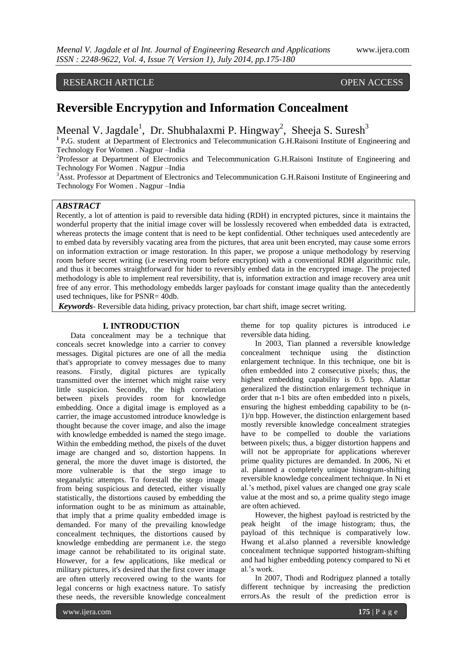## RESEARCH ARTICLE OPEN ACCESS

# **Reversible Encrypytion and Information Concealment**

Meenal V. Jagdale<sup>1</sup>, Dr. Shubhalaxmi P. Hingway<sup>2</sup>, Sheeja S. Suresh<sup>3</sup>

<sup>1</sup> P.G. student at Department of Electronics and Telecommunication G.H.Raisoni Institute of Engineering and Technology For Women . Nagpur –India

<sup>2</sup>Professor at Department of Electronics and Telecommunication G.H.Raisoni Institute of Engineering and Technology For Women . Nagpur –India

<sup>3</sup>Asst. Professor at Department of Electronics and Telecommunication G.H.Raisoni Institute of Engineering and Technology For Women . Nagpur –India

### *ABSTRACT*

Recently, a lot of attention is paid to reversible data hiding (RDH) in encrypted pictures, since it maintains the wonderful property that the initial image cover will be losslessly recovered when embedded data is extracted, whereas protects the image content that is need to be kept confidential. Other techniques used antecedently are to embed data by reversibly vacating area from the pictures, that area unit been encryted, may cause some errors on information extraction or image restoration. In this paper, we propose a unique methodology by reserving room before secret writing (i.e reserving room before encryption) with a conventional RDH algorithmic rule, and thus it becomes straightforward for hider to reversibly embed data in the encrypted image. The projected methodology is able to implement real reversibility, that is, information extraction and image recovery area unit free of any error. This methodology embedds larger payloads for constant image quality than the antecedently used techniques, like for PSNR= 40db.

*Keywords*- Reversible data hiding, privacy protection, bar chart shift, image secret writing.

#### **I. INTRODUCTION**

Data concealment may be a technique that conceals secret knowledge into a carrier to convey messages. Digital pictures are one of all the media that's appropriate to convey messages due to many reasons. Firstly, digital pictures are typically transmitted over the internet which might raise very little suspicion. Secondly, the high correlation between pixels provides room for knowledge embedding. Once a digital image is employed as a carrier, the image accustomed introduce knowledge is thought because the cover image, and also the image with knowledge embedded is named the stego image. Within the embedding method, the pixels of the duvet image are changed and so, distortion happens. In general, the more the duvet image is distorted, the more vulnerable is that the stego image to steganalytic attempts. To forestall the stego image from being suspicious and detected, either visually statistically, the distortions caused by embedding the information ought to be as minimum as attainable, that imply that a prime quality embedded image is demanded. For many of the prevailing knowledge concealment techniques, the distortions caused by knowledge embedding are permanent i.e. the stego image cannot be rehabilitated to its original state. However, for a few applications, like medical or military pictures, it's desired that the first cover image are often utterly recovered owing to the wants for legal concerns or high exactness nature. To satisfy these needs, the reversible knowledge concealment theme for top quality pictures is introduced i.e reversible data hiding.

In 2003, Tian planned a reversible knowledge concealment technique using the distinction enlargement technique. In this technique, one bit is often embedded into 2 consecutive pixels; thus, the highest embedding capability is 0.5 bpp. Alattar generalized the distinction enlargement technique in order that n-1 bits are often embedded into n pixels, ensuring the highest embedding capability to be (n-1)/n bpp. However, the distinction enlargement based mostly reversible knowledge concealment strategies have to be compelled to double the variations between pixels; thus, a bigger distortion happens and will not be appropriate for applications wherever prime quality pictures are demanded. In 2006, Ni et al. planned a completely unique histogram-shifting reversible knowledge concealment technique. In Ni et al.'s method, pixel values are changed one gray scale value at the most and so, a prime quality stego image are often achieved.

However, the highest payload is restricted by the peak height of the image histogram; thus, the payload of this technique is comparatively low. Hwang et al.also planned a reversible knowledge concealment technique supported histogram-shifting and had higher embedding potency compared to Ni et al.'s work.

In 2007, Thodi and Rodriguez planned a totally different technique by increasing the prediction errors.As the result of the prediction error is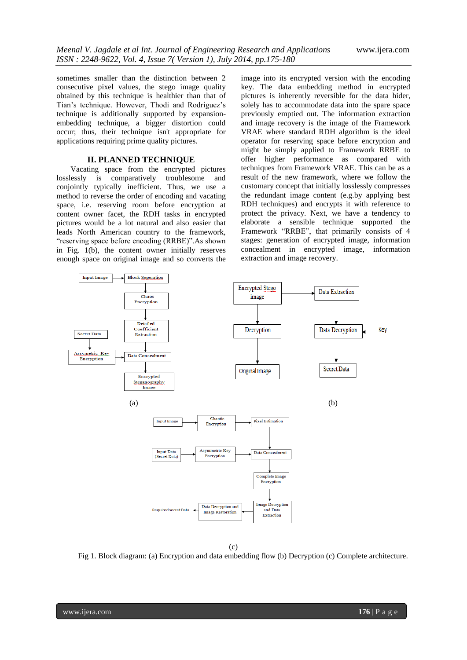sometimes smaller than the distinction between 2 consecutive pixel values, the stego image quality obtained by this technique is healthier than that of Tian's technique. However, Thodi and Rodriguez's technique is additionally supported by expansionembedding technique, a bigger distortion could occur; thus, their technique isn't appropriate for applications requiring prime quality pictures.

#### **II. PLANNED TECHNIQUE**

Vacating space from the encrypted pictures losslessly is comparatively troublesome and conjointly typically inefficient. Thus, we use a method to reverse the order of encoding and vacating space, i.e. reserving room before encryption at content owner facet, the RDH tasks in encrypted pictures would be a lot natural and also easier that leads North American country to the framework, "reserving space before encoding (RRBE)".As shown in Fig. 1(b), the content owner initially reserves enough space on original image and so converts the image into its encrypted version with the encoding key. The data embedding method in encrypted pictures is inherently reversible for the data hider, solely has to accommodate data into the spare space previously emptied out. The information extraction and image recovery is the image of the Framework VRAE where standard RDH algorithm is the ideal operator for reserving space before encryption and might be simply applied to Framework RRBE to offer higher performance as compared with techniques from Framework VRAE. This can be as a result of the new framework, where we follow the customary concept that initially losslessly compresses the redundant image content (e.g.by applying best RDH techniques) and encrypts it with reference to protect the privacy. Next, we have a tendency to elaborate a sensible technique supported the Framework "RRBE", that primarily consists of 4 stages: generation of encrypted image, information concealment in encrypted image, information extraction and image recovery.



(c)

Fig 1. Block diagram: (a) Encryption and data embedding flow (b) Decryption (c) Complete architecture.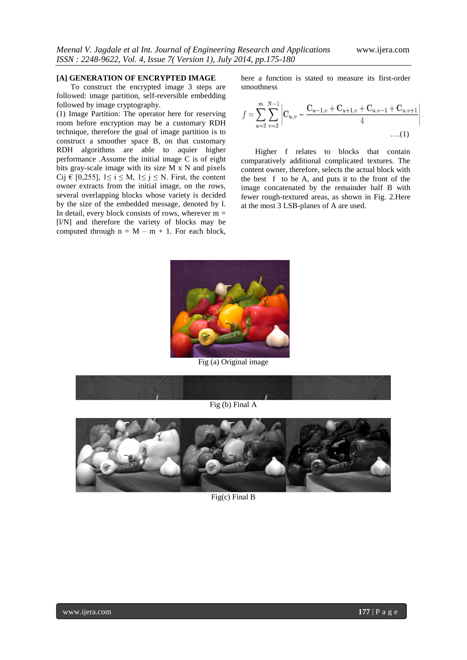#### **[A] GENERATION OF ENCRYPTED IMAGE**

To construct the encrypted image 3 steps are followed: image partition, self-reversible embedding followed by image cryptography.

(1) Image Partition: The operator here for reserving room before encryption may be a customary RDH technique, therefore the goal of image partition is to construct a smoother space B, on that customary RDH algorithms are able to aquier higher performance .Assume the initial image C is of eight bits gray-scale image with its size M x N and pixels Cij  $\in$  [0,255], 1≤ i ≤ M, 1≤ j ≤ N. First, the content owner extracts from the initial image, on the rows, several overlapping blocks whose variety is decided by the size of the embedded message, denoted by l. In detail, every block consists of rows, wherever  $m =$ [l/N] and therefore the variety of blocks may be computed through  $n = M - m + 1$ . For each block,

here a function is stated to measure its first-order smoothness

$$
f = \sum_{u=2}^{m} \sum_{v=2}^{N-1} \left| \mathbf{C}_{u,v} - \frac{\mathbf{C}_{u-1,v} + \mathbf{C}_{u+1,v} + \mathbf{C}_{u,v-1} + \mathbf{C}_{u,v+1}}{4} \cdots (1) \right|
$$

Higher f relates to blocks that contain comparatively additional complicated textures. The content owner, therefore, selects the actual block with the best f to be A, and puts it to the front of the image concatenated by the remainder half B with fewer rough-textured areas, as shown in Fig. 2.Here at the most 3 LSB-planes of A are used.



Fig (a) Original image





Fig(c) Final B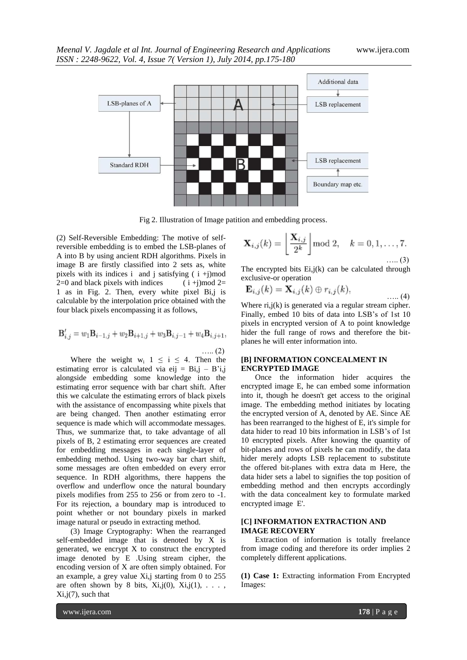

Fig 2. Illustration of Image patition and embedding process.

(2) Self-Reversible Embedding: The motive of selfreversible embedding is to embed the LSB-planes of A into B by using ancient RDH algorithms. Pixels in image B are firstly classified into 2 sets as, white pixels with its indices i and j satisfying  $(i +j)$  mod  $2=0$  and black pixels with indices (i+j)mod 2= 1 as in Fig. 2. Then, every white pixel Bi,j is calculable by the interpolation price obtained with the four black pixels encompassing it as follows,

$$
\mathbf{B}'_{i,j} = w_1 \mathbf{B}_{i-1,j} + w_2 \mathbf{B}_{i+1,j} + w_3 \mathbf{B}_{i,j-1} + w_4 \mathbf{B}_{i,j+1},
$$
  
.... (2)

Where the weight  $w_i$  1  $\leq$  i  $\leq$  4. Then the estimating error is calculated via eij =  $Bi$ , j –  $B'i$ , j alongside embedding some knowledge into the estimating error sequence with bar chart shift. After this we calculate the estimating errors of black pixels with the assistance of encompassing white pixels that are being changed. Then another estimating error sequence is made which will accommodate messages. Thus, we summarize that, to take advantage of all pixels of B, 2 estimating error sequences are created for embedding messages in each single-layer of embedding method. Using two-way bar chart shift, some messages are often embedded on every error sequence. In RDH algorithms, there happens the overflow and underflow once the natural boundary pixels modifies from 255 to 256 or from zero to -1. For its rejection, a boundary map is introduced to point whether or not boundary pixels in marked image natural or pseudo in extracting method.

(3) Image Cryptography: When the rearranged self-embedded image that is denoted by X is generated, we encrypt X to construct the encrypted image denoted by E .Using stream cipher, the encoding version of X are often simply obtained. For an example, a grey value Xi,j starting from 0 to 255 are often shown by 8 bits,  $Xi$ ,  $ji(0)$ ,  $Xi$ ,  $ji(1)$ , ...  $Xi, j(7)$ , such that

$$
\mathbf{X}_{i,j}(k) = \left\lfloor \frac{\mathbf{X}_{i,j}}{2^k} \right\rfloor \mod 2, \quad k = 0, 1, \dots, 7.
$$

The encrypted bits  $Ei, j(k)$  can be calculated through exclusive-or operation

$$
\mathbf{E}_{i,j}(k) = \mathbf{X}_{i,j}(k) \oplus r_{i,j}(k), \qquad \qquad \dots (4)
$$

Where  $ri,j(k)$  is generated via a regular stream cipher. Finally, embed 10 bits of data into LSB's of 1st 10 pixels in encrypted version of A to point knowledge hider the full range of rows and therefore the bitplanes he will enter information into.

#### **[B] INFORMATION CONCEALMENT IN ENCRYPTED IMAGE**

Once the information hider acquires the encrypted image E, he can embed some information into it, though he doesn't get access to the original image. The embedding method initiates by locating the encrypted version of A, denoted by AE. Since AE has been rearranged to the highest of E, it's simple for data hider to read 10 bits information in LSB's of 1st 10 encrypted pixels. After knowing the quantity of bit-planes and rows of pixels he can modify, the data hider merely adopts LSB replacement to substitute the offered bit-planes with extra data m Here, the data hider sets a label to signifies the top position of embedding method and then encrypts accordingly with the data concealment key to formulate marked encrypted image E'.

#### **[C] INFORMATION EXTRACTION AND IMAGE RECOVERY**

Extraction of information is totally freelance from image coding and therefore its order implies 2 completely different applications.

**(1) Case 1:** Extracting information From Encrypted Images: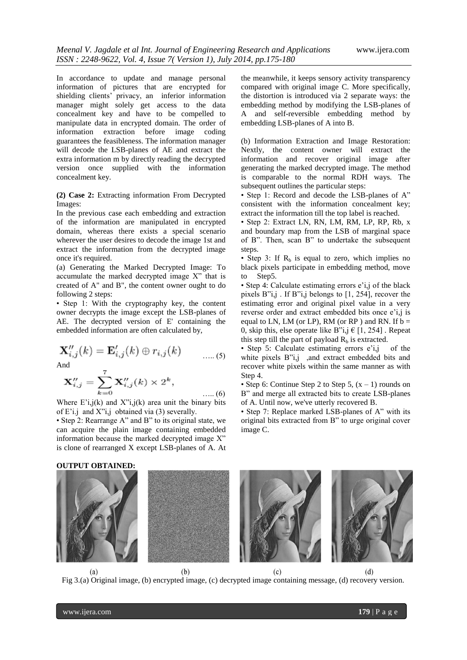In accordance to update and manage personal information of pictures that are encrypted for shielding clients' privacy, an inferior information manager might solely get access to the data concealment key and have to be compelled to manipulate data in encrypted domain. The order of information extraction before image coding guarantees the feasibleness. The information manager will decode the LSB-planes of AE and extract the extra information m by directly reading the decrypted version once supplied with the information concealment key.

**(2) Case 2:** Extracting information From Decrypted Images:

In the previous case each embedding and extraction of the information are manipulated in encrypted domain, whereas there exists a special scenario wherever the user desires to decode the image 1st and extract the information from the decrypted image once it's required.

(a) Generating the Marked Decrypted Image: To accumulate the marked decrypted image X" that is created of A" and B", the content owner ought to do following 2 steps:

• Step 1: With the cryptography key, the content owner decrypts the image except the LSB-planes of AE. The decrypted version of E' containing the embedded information are often calculated by,

$$
\mathbf{X}_{i,j}''(k) = \mathbf{E}_{i,j}'(k) \oplus r_{i,j}(k) \qquad \qquad \dots (5)
$$

And

$$
\mathbf{X}_{i,j}'' = \sum_{k=0}^{I} \mathbf{X}_{i,j}''(k) \times 2^k, \qquad \dots (6)
$$

Where  $E'i.i(k)$  and  $X'i.i(k)$  area unit the binary bits of E'i.j and X"i,j obtained via (3) severally.

• Step 2: Rearrange A" and B" to its original state, we can acquire the plain image containing embedded information because the marked decrypted image X" is clone of rearranged X except LSB-planes of A. At the meanwhile, it keeps sensory activity transparency compared with original image C. More specifically, the distortion is introduced via 2 separate ways: the embedding method by modifying the LSB-planes of A and self-reversible embedding method by embedding LSB-planes of A into B.

(b) Information Extraction and Image Restoration: Nextly, the content owner will extract the information and recover original image after generating the marked decrypted image. The method is comparable to the normal RDH ways. The subsequent outlines the particular steps:

• Step 1: Record and decode the LSB-planes of A" consistent with the information concealment key; extract the information till the top label is reached.

• Step 2: Extract LN, RN, LM, RM, LP, RP, Rb, x and boundary map from the LSB of marginal space of B". Then, scan B" to undertake the subsequent steps.

• Step 3: If  $R<sub>b</sub>$  is equal to zero, which implies no black pixels participate in embedding method, move to Step5.

• Step 4: Calculate estimating errors e'i,j of the black pixels B"i,j . If B"i,j belongs to [1, 254], recover the estimating error and original pixel value in a very reverse order and extract embedded bits once e'i,j is equal to LN, LM (or LP), RM (or RP) and RN. If  $\bar{b} =$ 0, skip this, else operate like B"i,j  $\in$  [1, 254]. Repeat this step till the part of payload  $R_b$  is extracted.

• Step 5: Calculate estimating errors e'i,j of the white pixels B"i,j ,and extract embedded bits and recover white pixels within the same manner as with Step 4.

• Step 6: Continue Step 2 to Step 5,  $(x - 1)$  rounds on B" and merge all extracted bits to create LSB-planes of A. Until now, we've utterly recovered B.

• Step 7: Replace marked LSB-planes of A" with its original bits extracted from B" to urge original cover image C.



Fig 3.(a) Original image, (b) encrypted image, (c) decrypted image containing message, (d) recovery version.